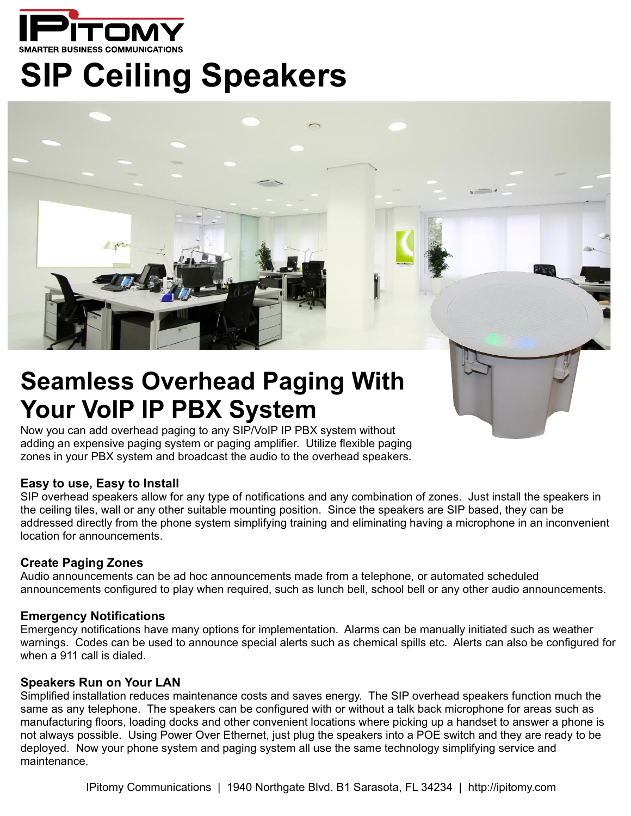

# **SIP Ceiling Speakers**



## **Seamless Overhead Paging With Your VoIP IP PBX System**

Now you can add overhead paging to any SIP/VoIP IP PBX system without adding an expensive paging system or paging amplifier. Utilize flexible paging zones in your PBX system and broadcast the audio to the overhead speakers.

#### **Easy to use, Easy to Install**

SIP overhead speakers allow for any type of notifications and any combination of zones. Just install the speakers in the ceiling tiles, wall or any other suitable mounting position. Since the speakers are SIP based, they can be addressed directly from the phone system simplifying training and eliminating having a microphone in an inconvenient location for announcements.

#### **Create Paging Zones**

Audio announcements can be ad hoc announcements made from a telephone, or automated scheduled announcements configured to play when required, such as lunch bell, school bell or any other audio announcements.

#### **Emergency Notifications**

Emergency notifications have many options for implementation. Alarms can be manually initiated such as weather warnings. Codes can be used to announce special alerts such as chemical spills etc. Alerts can also be configured for when a 911 call is dialed.

#### **Speakers Run on Your LAN**

Simplified installation reduces maintenance costs and saves energy. The SIP overhead speakers function much the same as any telephone. The speakers can be configured with or without a talk back microphone for areas such as manufacturing floors, loading docks and other convenient locations where picking up a handset to answer a phone is not always possible. Using Power Over Ethernet, just plug the speakers into a POE switch and they are ready to be deployed. Now your phone system and paging system all use the same technology simplifying service and maintenance.